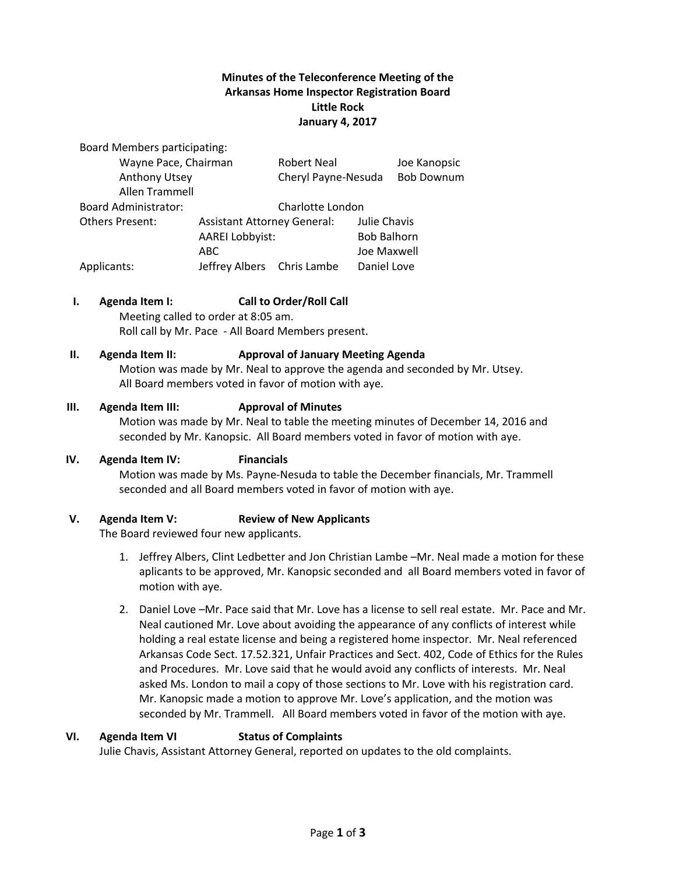## **Minutes of the Teleconference Meeting of the Arkansas Home Inspector Registration Board Little Rock January 4, 2017**

Board Members participating:

| Wayne Pace, Chairman        |                                                              | <b>Robert Neal</b>  |                    | Joe Kanopsic      |
|-----------------------------|--------------------------------------------------------------|---------------------|--------------------|-------------------|
| Anthony Utsey               |                                                              | Cheryl Payne-Nesuda |                    | <b>Bob Downum</b> |
| Allen Trammell              |                                                              |                     |                    |                   |
| <b>Board Administrator:</b> |                                                              | Charlotte London    |                    |                   |
| <b>Others Present:</b>      | <b>Assistant Attorney General:</b><br><b>AAREI Lobbyist:</b> |                     | Julie Chavis       |                   |
|                             |                                                              |                     | <b>Bob Balhorn</b> |                   |
|                             | ABC.                                                         |                     | Joe Maxwell        |                   |
| Applicants:                 | Jeffrey Albers Chris Lambe                                   |                     | Daniel Love        |                   |

### **I. Agenda Item I: Call to Order/Roll Call**

Meeting called to order at 8:05 am. Roll call by Mr. Pace - All Board Members present.

#### **II. Agenda Item II: Approval of January Meeting Agenda**

Motion was made by Mr. Neal to approve the agenda and seconded by Mr. Utsey. All Board members voted in favor of motion with aye.

#### **III. Agenda Item III: Approval of Minutes**

Motion was made by Mr. Neal to table the meeting minutes of December 14, 2016 and seconded by Mr. Kanopsic. All Board members voted in favor of motion with aye.

### **IV. Agenda Item IV: Financials**

Motion was made by Ms. Payne-Nesuda to table the December financials, Mr. Trammell seconded and all Board members voted in favor of motion with aye.

### **V. Agenda Item V: Review of New Applicants**

The Board reviewed four new applicants.

- 1. Jeffrey Albers, Clint Ledbetter and Jon Christian Lambe –Mr. Neal made a motion for these aplicants to be approved, Mr. Kanopsic seconded and all Board members voted in favor of motion with aye.
- 2. Daniel Love –Mr. Pace said that Mr. Love has a license to sell real estate. Mr. Pace and Mr. Neal cautioned Mr. Love about avoiding the appearance of any conflicts of interest while holding a real estate license and being a registered home inspector. Mr. Neal referenced Arkansas Code Sect. 17.52.321, Unfair Practices and Sect. 402, Code of Ethics for the Rules and Procedures. Mr. Love said that he would avoid any conflicts of interests. Mr. Neal asked Ms. London to mail a copy of those sections to Mr. Love with his registration card. Mr. Kanopsic made a motion to approve Mr. Love's application, and the motion was seconded by Mr. Trammell. All Board members voted in favor of the motion with aye.

#### **VI. Agenda Item VI Status of Complaints**

Julie Chavis, Assistant Attorney General, reported on updates to the old complaints.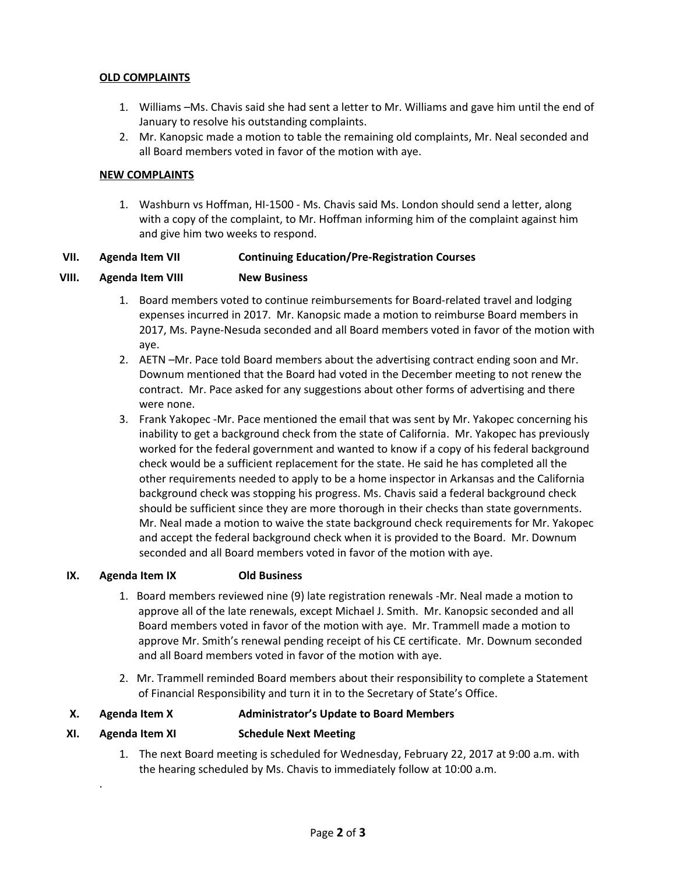### **OLD COMPLAINTS**

- 1. Williams –Ms. Chavis said she had sent a letter to Mr. Williams and gave him until the end of January to resolve his outstanding complaints.
- 2. Mr. Kanopsic made a motion to table the remaining old complaints, Mr. Neal seconded and all Board members voted in favor of the motion with aye.

### **NEW COMPLAINTS**

1. Washburn vs Hoffman, HI-1500 - Ms. Chavis said Ms. London should send a letter, along with a copy of the complaint, to Mr. Hoffman informing him of the complaint against him and give him two weeks to respond.

### **VII. Agenda Item VII Continuing Education/Pre-Registration Courses**

### **VIII. Agenda Item VIII New Business**

- 1. Board members voted to continue reimbursements for Board-related travel and lodging expenses incurred in 2017. Mr. Kanopsic made a motion to reimburse Board members in 2017, Ms. Payne-Nesuda seconded and all Board members voted in favor of the motion with aye.
- 2. AETN –Mr. Pace told Board members about the advertising contract ending soon and Mr. Downum mentioned that the Board had voted in the December meeting to not renew the contract. Mr. Pace asked for any suggestions about other forms of advertising and there were none.
- 3. Frank Yakopec -Mr. Pace mentioned the email that was sent by Mr. Yakopec concerning his inability to get a background check from the state of California. Mr. Yakopec has previously worked for the federal government and wanted to know if a copy of his federal background check would be a sufficient replacement for the state. He said he has completed all the other requirements needed to apply to be a home inspector in Arkansas and the California background check was stopping his progress. Ms. Chavis said a federal background check should be sufficient since they are more thorough in their checks than state governments. Mr. Neal made a motion to waive the state background check requirements for Mr. Yakopec and accept the federal background check when it is provided to the Board. Mr. Downum seconded and all Board members voted in favor of the motion with aye.

### **IX. Agenda Item IX Old Business**

- 1. Board members reviewed nine (9) late registration renewals -Mr. Neal made a motion to approve all of the late renewals, except Michael J. Smith. Mr. Kanopsic seconded and all Board members voted in favor of the motion with aye. Mr. Trammell made a motion to approve Mr. Smith's renewal pending receipt of his CE certificate. Mr. Downum seconded and all Board members voted in favor of the motion with aye.
- 2. Mr. Trammell reminded Board members about their responsibility to complete a Statement of Financial Responsibility and turn it in to the Secretary of State's Office.

### **X. Agenda Item X Administrator's Update to Board Members**

### **XI. Agenda Item XI Schedule Next Meeting**

.

1. The next Board meeting is scheduled for Wednesday, February 22, 2017 at 9:00 a.m. with the hearing scheduled by Ms. Chavis to immediately follow at 10:00 a.m.